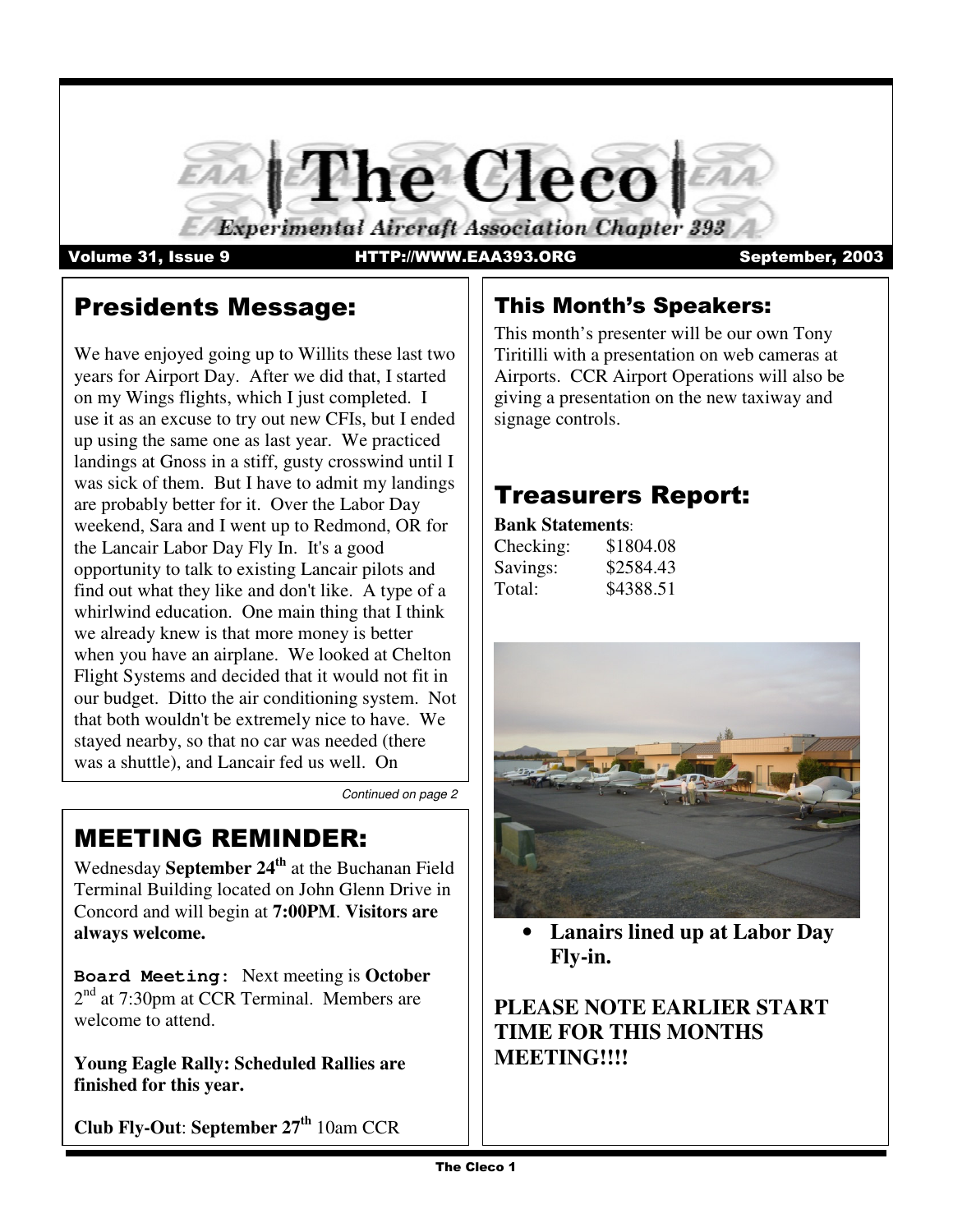

#### Volume 31, Issue 9

HTTP://WWW.EAA393.ORG September, 2003

# **Presidents Message:**

We have enjoyed going up to Willits these last two years for Airport Day. After we did that, I started on my Wings flights, which I just completed. I use it as an excuse to try out new CFIs, but I ended up using the same one as last year. We practiced landings at Gnoss in a stiff, gusty crosswind until I was sick of them. But I have to admit my landings are probably better for it. Over the Labor Day weekend, Sara and I went up to Redmond, OR for the Lancair Labor Day Fly In. It's a good opportunity to talk to existing Lancair pilots and find out what they like and don't like. A type of a whirlwind education. One main thing that I think we already knew is that more money is better when you have an airplane. We looked at Chelton Flight Systems and decided that it would not fit in our budget. Ditto the air conditioning system. Not that both wouldn't be extremely nice to have. We stayed nearby, so that no car was needed (there was a shuttle), and Lancair fed us well. On

*Continued on page 2*

# **MEETING REMINDER:**

Wednesday **September 24 th** at the Buchanan Field Terminal Building located on John Glenn Drive in Concord and will begin at **7:00PM**. **Visitors are always welcome.**

**Board Meeting:** Next meeting is **October** 2<sup>nd</sup> at 7:30pm at CCR Terminal. Members are welcome to attend.

**Young Eagle Rally: Scheduled Rallies are finished for this year.**

**Club Fly-Out**: **September 27 th** 10am CCR

Terminal.

## This Month's Speakers:

This month's presenter will be our own Tony Tiritilli with a presentation on web cameras at Airports. CCR Airport Operations will also be giving a presentation on the new taxiway and signage controls.

# **Treasurers Report:**

#### **Bank Statements**:

| Checking: | \$1804.08 |
|-----------|-----------|
| Savings:  | \$2584.43 |
| Total:    | \$4388.51 |



• **Lanairs lined up at Labor Day Fly-in.**

**PLEASE NOTE EARLIER START TIME FOR THIS MONTHS MEETING!!!!**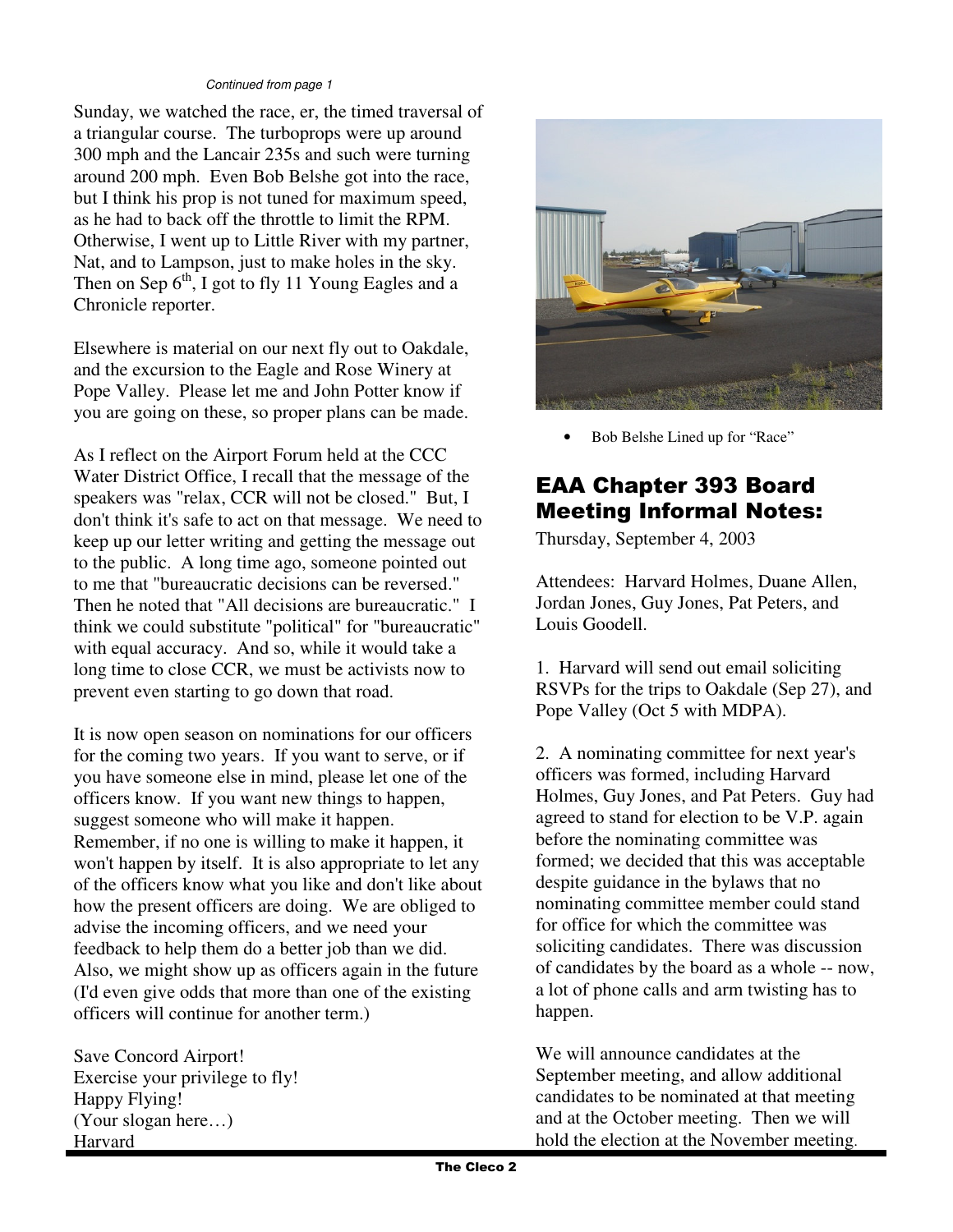#### *Continued from page 1*

Sunday, we watched the race, er, the timed traversal of a triangular course. The turboprops were up around 300 mph and the Lancair 235s and such were turning around 200 mph. Even Bob Belshe got into the race, but I think his prop is not tuned for maximum speed, as he had to back off the throttle to limit the RPM. Otherwise, I went up to Little River with my partner, Nat, and to Lampson, just to make holes in the sky. Then on Sep  $6<sup>th</sup>$ , I got to fly 11 Young Eagles and a Chronicle reporter.

Elsewhere is material on our next fly out to Oakdale, and the excursion to the Eagle and Rose Winery at Pope Valley. Please let me and John Potter know if you are going on these, so proper plans can be made.

As I reflect on the Airport Forum held at the CCC Water District Office, I recall that the message of the speakers was "relax, CCR will not be closed." But, I don't think it's safe to act on that message. We need to keep up our letter writing and getting the message out to the public. A long time ago, someone pointed out to me that "bureaucratic decisions can be reversed." Then he noted that "All decisions are bureaucratic." I think we could substitute "political" for "bureaucratic" with equal accuracy. And so, while it would take a long time to close CCR, we must be activists now to prevent even starting to go down that road.

It is now open season on nominations for our officers for the coming two years. If you want to serve, or if you have someone else in mind, please let one of the officers know. If you want new things to happen, suggest someone who will make it happen. Remember, if no one is willing to make it happen, it won't happen by itself. It is also appropriate to let any of the officers know what you like and don't like about how the present officers are doing. We are obliged to advise the incoming officers, and we need your feedback to help them do a better job than we did. Also, we might show up as officers again in the future (I'd even give odds that more than one of the existing officers will continue for another term.)

Save Concord Airport! Exercise your privilege to fly! Happy Flying! (Your slogan here…) Harvard



• Bob Belshe Lined up for "Race"

### EAA Chapter 393 Board **Meeting Informal Notes:**

Thursday, September 4, 2003

Attendees: Harvard Holmes, Duane Allen, Jordan Jones, Guy Jones, Pat Peters, and Louis Goodell.

1. Harvard will send out email soliciting RSVPs for the trips to Oakdale (Sep 27), and Pope Valley (Oct 5 with MDPA).

2. A nominating committee for next year's officers was formed, including Harvard Holmes, Guy Jones, and Pat Peters. Guy had agreed to stand for election to be V.P. again before the nominating committee was formed; we decided that this was acceptable despite guidance in the bylaws that no nominating committee member could stand for office for which the committee was soliciting candidates. There was discussion of candidates by the board as a whole -- now, a lot of phone calls and arm twisting has to happen.

We will announce candidates at the September meeting, and allow additional candidates to be nominated at that meeting and at the October meeting. Then we will hold the election at the November meeting.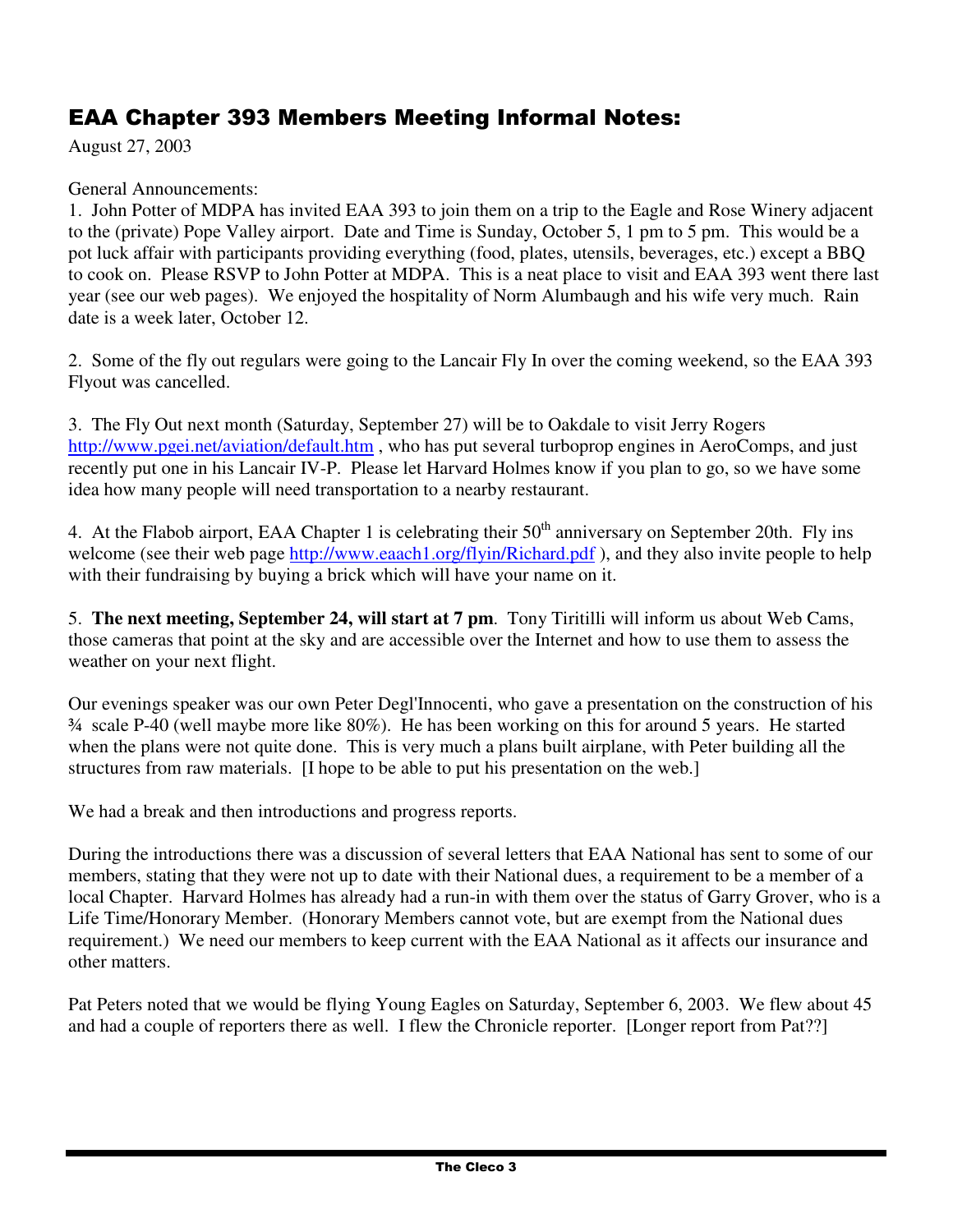### EAA Chapter 393 Members Meeting Informal Notes:

August 27, 2003

### General Announcements:

1. John Potter of MDPA has invited EAA 393 to join them on a trip to the Eagle and Rose Winery adjacent to the (private) Pope Valley airport. Date and Time is Sunday, October 5, 1 pm to 5 pm. This would be a pot luck affair with participants providing everything (food, plates, utensils, beverages, etc.) except a BBQ to cook on. Please RSVP to John Potter at MDPA. This is a neat place to visit and EAA 393 went there last year (see our web pages). We enjoyed the hospitality of Norm Alumbaugh and his wife very much. Rain date is a week later, October 12.

2. Some of the fly out regulars were going to the Lancair Fly In over the coming weekend, so the EAA 393 Flyout was cancelled.

3. The Fly Out next month (Saturday, September 27) will be to Oakdale to visit Jerry Rogers http://www.pgei.net/aviation/default.htm , who has put several turboprop engines in AeroComps, and just recently put one in his Lancair IV-P. Please let Harvard Holmes know if you plan to go, so we have some idea how many people will need transportation to a nearby restaurant.

4. At the Flabob airport, EAA Chapter 1 is celebrating their  $50<sup>th</sup>$  anniversary on September 20th. Fly ins welcome (see their web page http://www.eaach1.org/flyin/Richard.pdf), and they also invite people to help with their fundraising by buying a brick which will have your name on it.

5. **The next meeting, September 24, will start at 7 pm**. Tony Tiritilli will inform us about Web Cams, those cameras that point at the sky and are accessible over the Internet and how to use them to assess the weather on your next flight.

Our evenings speaker was our own Peter Degl'Innocenti, who gave a presentation on the construction of his ¾ scale P-40 (well maybe more like 80%). He has been working on this for around 5 years. He started when the plans were not quite done. This is very much a plans built airplane, with Peter building all the structures from raw materials. [I hope to be able to put his presentation on the web.]

We had a break and then introductions and progress reports.

During the introductions there was a discussion of several letters that EAA National has sent to some of our members, stating that they were not up to date with their National dues, a requirement to be a member of a local Chapter. Harvard Holmes has already had a run-in with them over the status of Garry Grover, who is a Life Time/Honorary Member. (Honorary Members cannot vote, but are exempt from the National dues requirement.) We need our members to keep current with the EAA National as it affects our insurance and other matters.

Pat Peters noted that we would be flying Young Eagles on Saturday, September 6, 2003. We flew about 45 and had a couple of reporters there as well. I flew the Chronicle reporter. [Longer report from Pat??]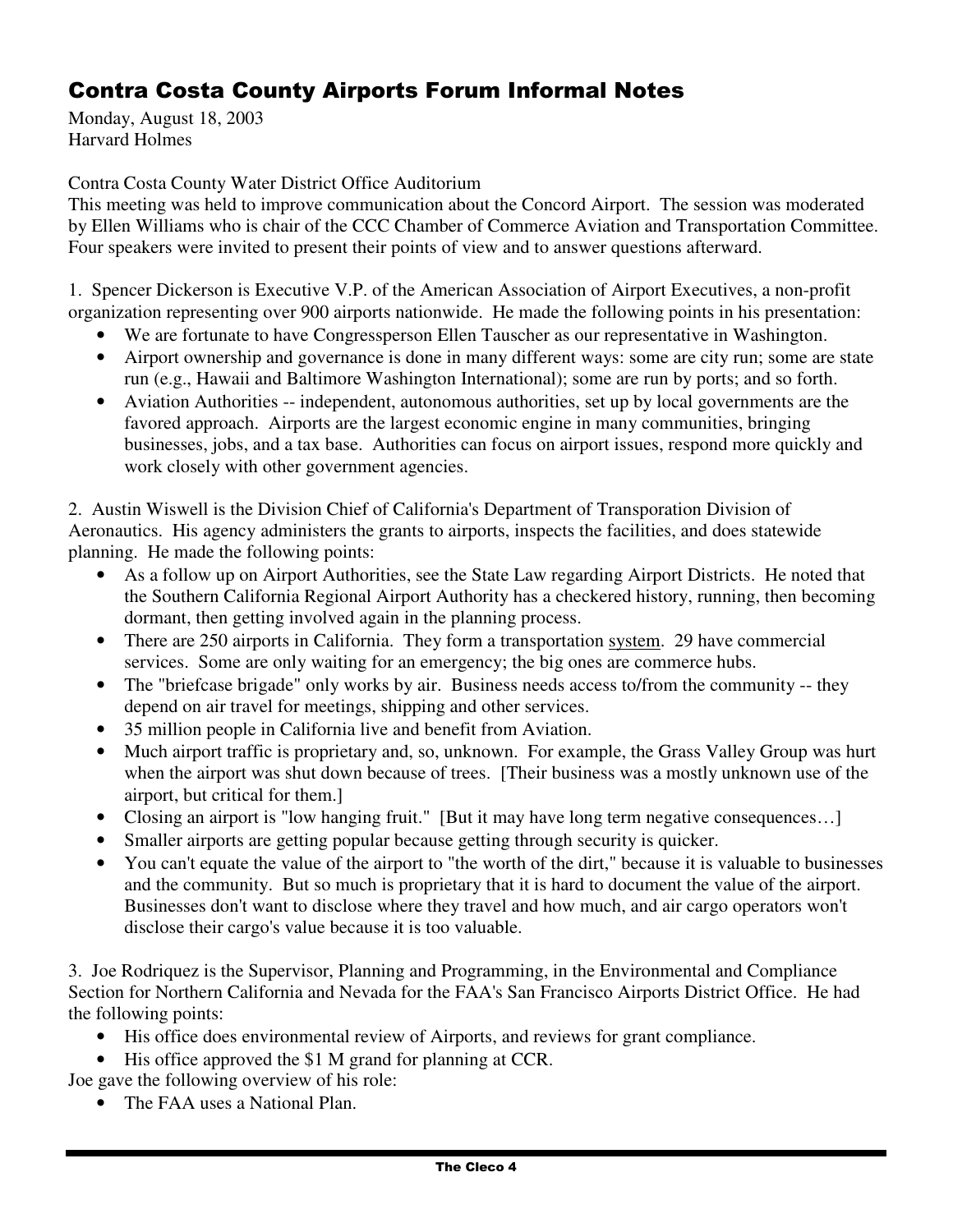## **Contra Costa County Airports Forum Informal Notes**

Monday, August 18, 2003 Harvard Holmes

#### Contra Costa County Water District Office Auditorium

This meeting was held to improve communication about the Concord Airport. The session was moderated by Ellen Williams who is chair of the CCC Chamber of Commerce Aviation and Transportation Committee. Four speakers were invited to present their points of view and to answer questions afterward.

1. Spencer Dickerson is Executive V.P. of the American Association of Airport Executives, a non-profit organization representing over 900 airports nationwide. He made the following points in his presentation:

- We are fortunate to have Congressperson Ellen Tauscher as our representative in Washington.
- Airport ownership and governance is done in many different ways: some are city run; some are state run (e.g., Hawaii and Baltimore Washington International); some are run by ports; and so forth.
- Aviation Authorities -- independent, autonomous authorities, set up by local governments are the favored approach. Airports are the largest economic engine in many communities, bringing businesses, jobs, and a tax base. Authorities can focus on airport issues, respond more quickly and work closely with other government agencies.

2. Austin Wiswell is the Division Chief of California's Department of Transporation Division of Aeronautics. His agency administers the grants to airports, inspects the facilities, and does statewide planning. He made the following points:

- As a follow up on Airport Authorities, see the State Law regarding Airport Districts. He noted that the Southern California Regional Airport Authority has a checkered history, running, then becoming dormant, then getting involved again in the planning process.
- There are 250 airports in California. They form a transportation system. 29 have commercial services. Some are only waiting for an emergency; the big ones are commerce hubs.
- The "briefcase brigade" only works by air. Business needs access to/from the community -- they depend on air travel for meetings, shipping and other services.
- 35 million people in California live and benefit from Aviation.
- Much airport traffic is proprietary and, so, unknown. For example, the Grass Valley Group was hurt when the airport was shut down because of trees. [Their business was a mostly unknown use of the airport, but critical for them.]
- Closing an airport is "low hanging fruit." [But it may have long term negative consequences…]
- Smaller airports are getting popular because getting through security is quicker.
- You can't equate the value of the airport to "the worth of the dirt," because it is valuable to businesses and the community. But so much is proprietary that it is hard to document the value of the airport. Businesses don't want to disclose where they travel and how much, and air cargo operators won't disclose their cargo's value because it is too valuable.

3. Joe Rodriquez is the Supervisor, Planning and Programming, in the Environmental and Compliance Section for Northern California and Nevada for the FAA's San Francisco Airports District Office. He had the following points:

- His office does environmental review of Airports, and reviews for grant compliance.
- His office approved the \$1 M grand for planning at CCR.

Joe gave the following overview of his role:

• The FAA uses a National Plan.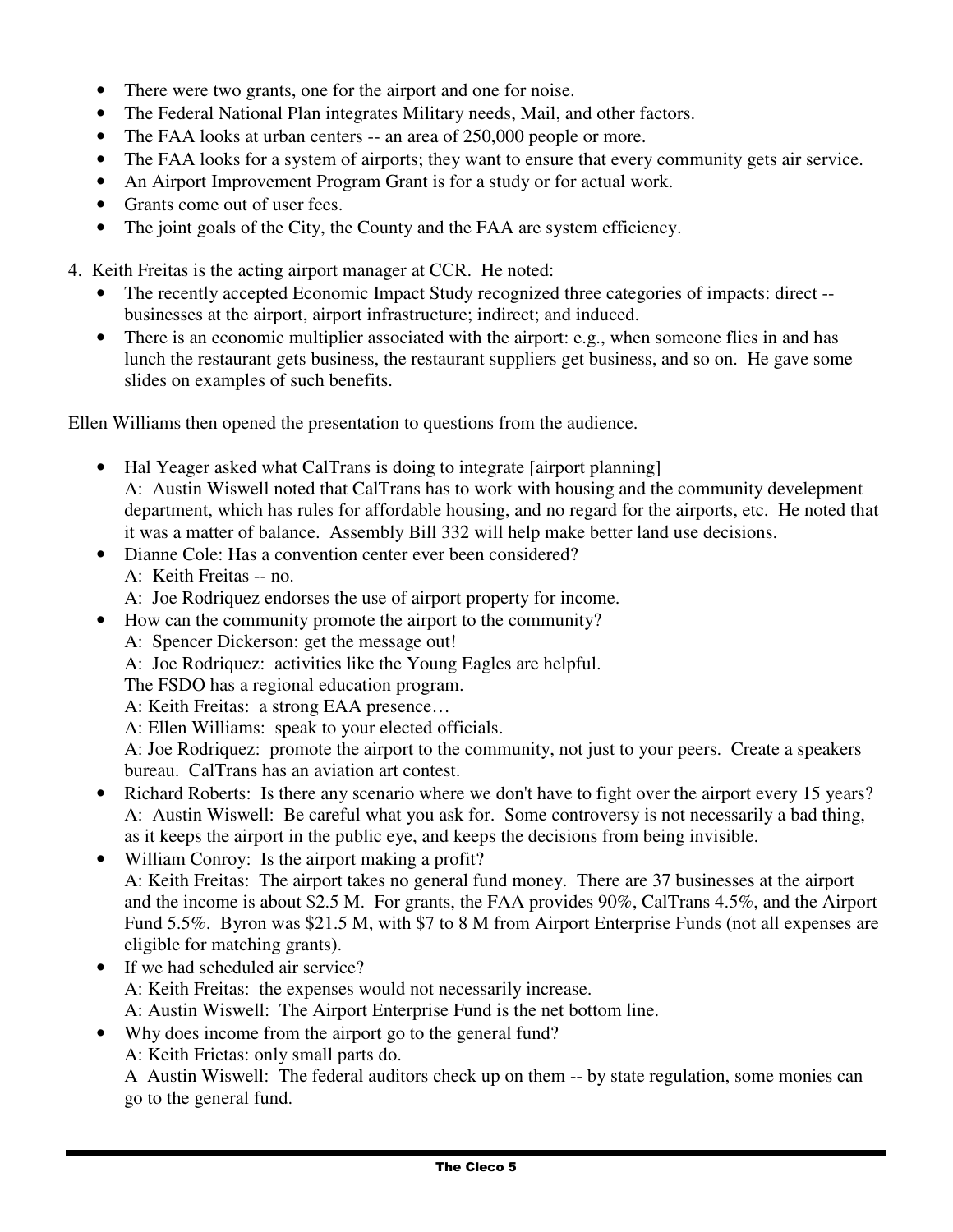- There were two grants, one for the airport and one for noise.
- The Federal National Plan integrates Military needs, Mail, and other factors.
- The FAA looks at urban centers -- an area of 250,000 people or more.
- The FAA looks for a system of airports; they want to ensure that every community gets air service.
- An Airport Improvement Program Grant is for a study or for actual work.
- Grants come out of user fees.
- The joint goals of the City, the County and the FAA are system efficiency.

4. Keith Freitas is the acting airport manager at CCR. He noted:

- The recently accepted Economic Impact Study recognized three categories of impacts: direct -businesses at the airport, airport infrastructure; indirect; and induced.
- There is an economic multiplier associated with the airport: e.g., when someone flies in and has lunch the restaurant gets business, the restaurant suppliers get business, and so on. He gave some slides on examples of such benefits.

Ellen Williams then opened the presentation to questions from the audience.

• Hal Yeager asked what CalTrans is doing to integrate [airport planning] A: Austin Wiswell noted that CalTrans has to work with housing and the community develepment department, which has rules for affordable housing, and no regard for the airports, etc. He noted that

it was a matter of balance. Assembly Bill 332 will help make better land use decisions.

- Dianne Cole: Has a convention center ever been considered? A: Keith Freitas -- no.
	- A: Joe Rodriquez endorses the use of airport property for income.
- How can the community promote the airport to the community?
	- A: Spencer Dickerson: get the message out!
	- A: Joe Rodriquez: activities like the Young Eagles are helpful.

The FSDO has a regional education program.

A: Keith Freitas: a strong EAA presence…

A: Ellen Williams: speak to your elected officials.

A: Joe Rodriquez: promote the airport to the community, not just to your peers. Create a speakers bureau. CalTrans has an aviation art contest.

- Richard Roberts: Is there any scenario where we don't have to fight over the airport every 15 years? A: Austin Wiswell: Be careful what you ask for. Some controversy is not necessarily a bad thing, as it keeps the airport in the public eye, and keeps the decisions from being invisible.
- William Conroy: Is the airport making a profit? A: Keith Freitas: The airport takes no general fund money. There are 37 businesses at the airport and the income is about \$2.5 M. For grants, the FAA provides 90%, CalTrans 4.5%, and the Airport Fund 5.5%. Byron was \$21.5 M, with \$7 to 8 M from Airport Enterprise Funds (not all expenses are eligible for matching grants).
- If we had scheduled air service? A: Keith Freitas: the expenses would not necessarily increase. A: Austin Wiswell: The Airport Enterprise Fund is the net bottom line.
- Why does income from the airport go to the general fund?

A: Keith Frietas: only small parts do.

A Austin Wiswell: The federal auditors check up on them -- by state regulation, some monies can go to the general fund.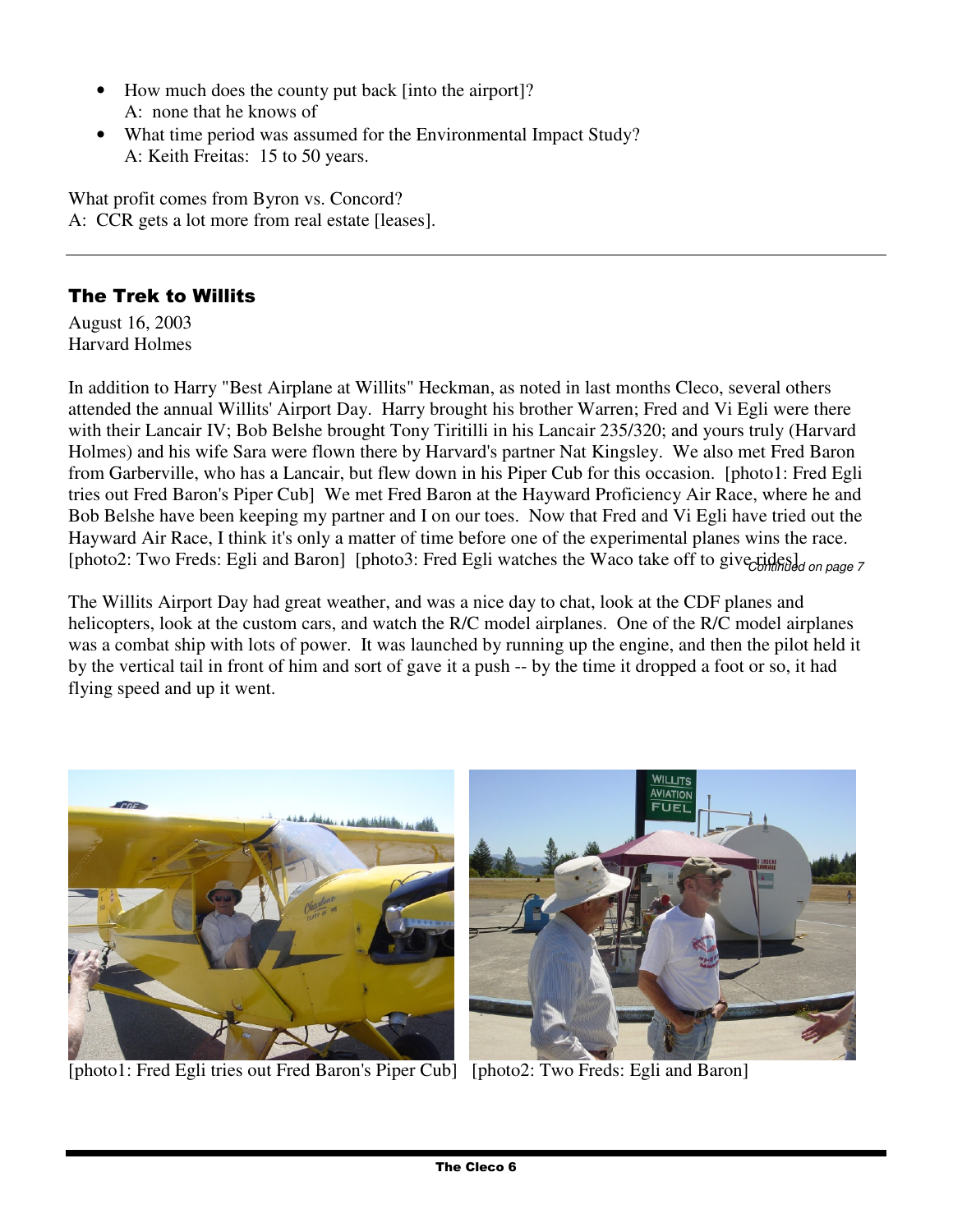- How much does the county put back [into the airport]? A: none that he knows of
- What time period was assumed for the Environmental Impact Study? A: Keith Freitas: 15 to 50 years.

What profit comes from Byron vs. Concord? A: CCR gets a lot more from real estate [leases].

### The Trek to Willits

August 16, 2003 Harvard Holmes

In addition to Harry "Best Airplane at Willits" Heckman, as noted in last months Cleco, several others attended the annual Willits' Airport Day. Harry brought his brother Warren; Fred and Vi Egli were there with their Lancair IV; Bob Belshe brought Tony Tiritilli in his Lancair 235/320; and yours truly (Harvard Holmes) and his wife Sara were flown there by Harvard's partner Nat Kingsley. We also met Fred Baron from Garberville, who has a Lancair, but flew down in his Piper Cub for this occasion. [photo1: Fred Egli tries out Fred Baron's Piper Cub] We met Fred Baron at the Hayward Proficiency Air Race, where he and Bob Belshe have been keeping my partner and I on our toes. Now that Fred and Vi Egli have tried out the Hayward Air Race, I think it's only a matter of time before one of the experimental planes wins the race. [photo2: Two Freds: Egli and Baron] [photo3: Fred Egli watches the Waco take off to give rides] *on page* 7

The Willits Airport Day had great weather, and was a nice day to chat, look at the CDF planes and helicopters, look at the custom cars, and watch the R/C model airplanes. One of the R/C model airplanes was a combat ship with lots of power. It was launched by running up the engine, and then the pilot held it by the vertical tail in front of him and sort of gave it a push -- by the time it dropped a foot or so, it had flying speed and up it went.



[photo1: Fred Egli tries out Fred Baron's Piper Cub] [photo2: Two Freds: Egli and Baron]

**WILLITS AVIATION** FIIE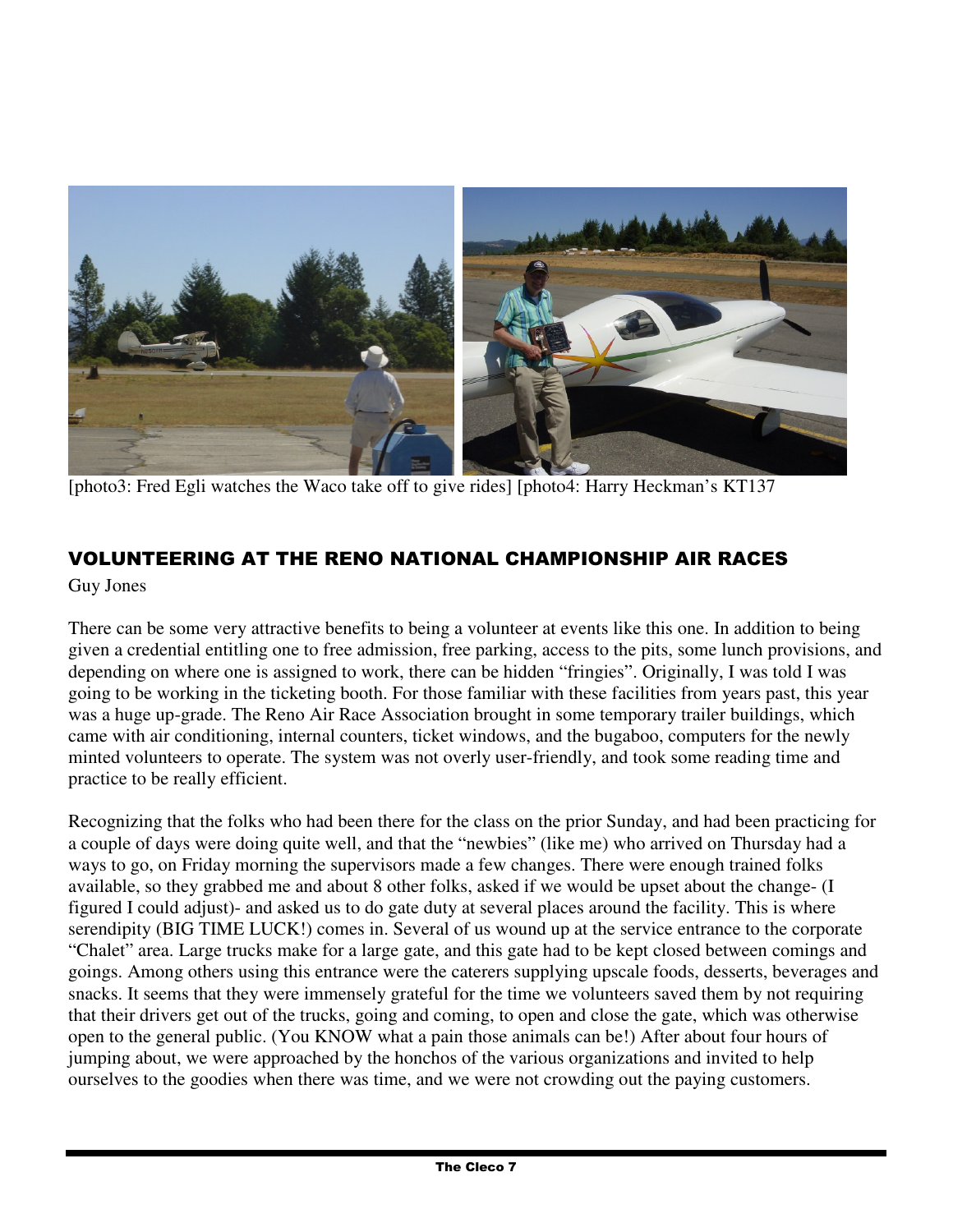

[photo3: Fred Egli watches the Waco take off to give rides] [photo4: Harry Heckman's KT137

## VOLUNTEERING AT THE RENO NATIONAL CHAMPIONSHIP AIR RACES

Guy Jones

There can be some very attractive benefits to being a volunteer at events like this one. In addition to being given a credential entitling one to free admission, free parking, access to the pits, some lunch provisions, and depending on where one is assigned to work, there can be hidden "fringies". Originally, I was told I was going to be working in the ticketing booth. For those familiar with these facilities from years past, this year was a huge up-grade. The Reno Air Race Association brought in some temporary trailer buildings, which came with air conditioning, internal counters, ticket windows, and the bugaboo, computers for the newly minted volunteers to operate. The system was not overly user-friendly, and took some reading time and practice to be really efficient.

Recognizing that the folks who had been there for the class on the prior Sunday, and had been practicing for a couple of days were doing quite well, and that the "newbies" (like me) who arrived on Thursday had a ways to go, on Friday morning the supervisors made a few changes. There were enough trained folks available, so they grabbed me and about 8 other folks, asked if we would be upset about the change- (I figured I could adjust)- and asked us to do gate duty at several places around the facility. This is where serendipity (BIG TIME LUCK!) comes in. Several of us wound up at the service entrance to the corporate "Chalet" area. Large trucks make for a large gate, and this gate had to be kept closed between comings and goings. Among others using this entrance were the caterers supplying upscale foods, desserts, beverages and snacks. It seems that they were immensely grateful for the time we volunteers saved them by not requiring that their drivers get out of the trucks, going and coming, to open and close the gate, which was otherwise open to the general public. (You KNOW what a pain those animals can be!) After about four hours of jumping about, we were approached by the honchos of the various organizations and invited to help ourselves to the goodies when there was time, and we were not crowding out the paying customers.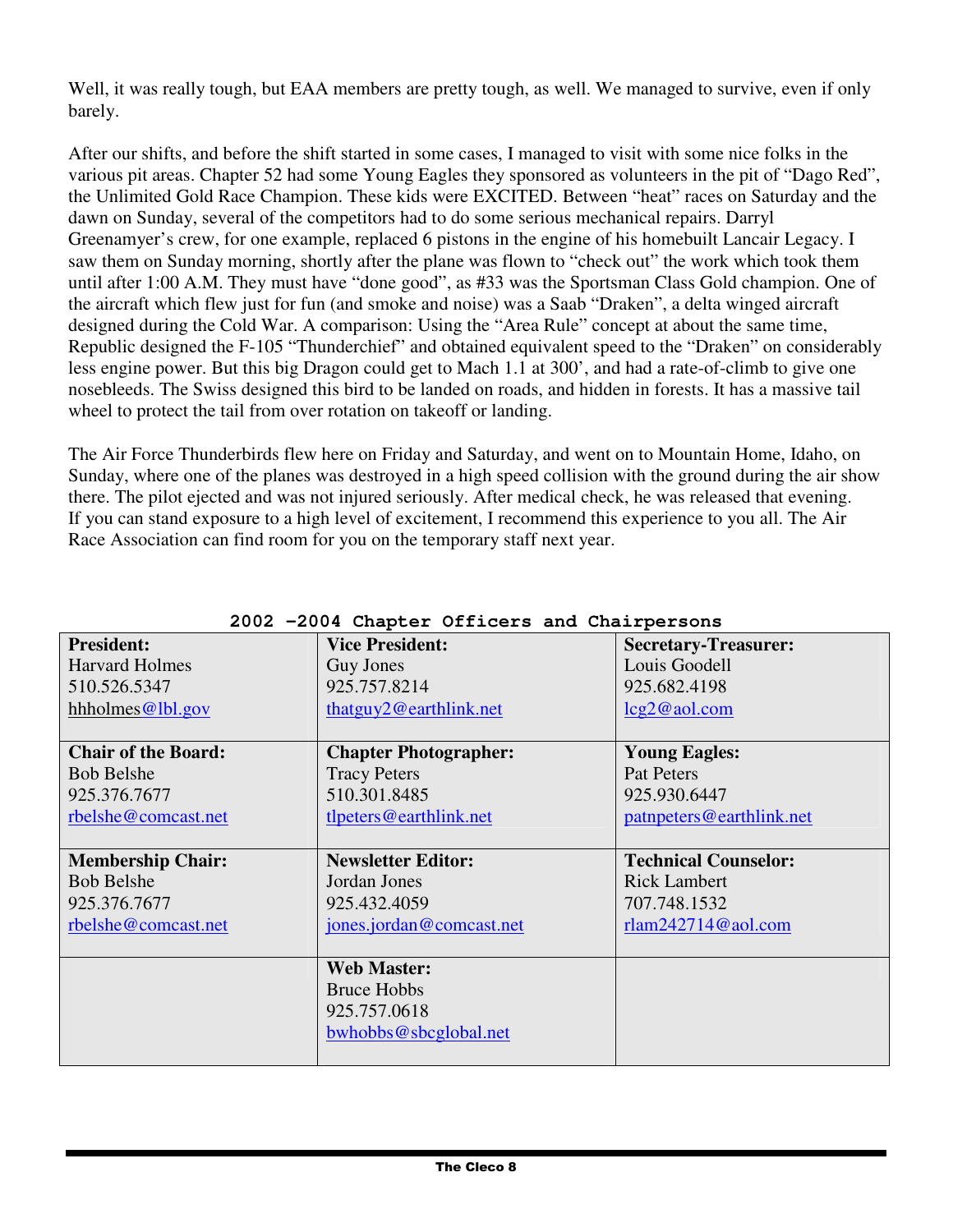Well, it was really tough, but EAA members are pretty tough, as well. We managed to survive, even if only barely.

After our shifts, and before the shift started in some cases, I managed to visit with some nice folks in the various pit areas. Chapter 52 had some Young Eagles they sponsored as volunteers in the pit of "Dago Red", the Unlimited Gold Race Champion. These kids were EXCITED. Between "heat" races on Saturday and the dawn on Sunday, several of the competitors had to do some serious mechanical repairs. Darryl Greenamyer's crew, for one example, replaced 6 pistons in the engine of his homebuilt Lancair Legacy. I saw them on Sunday morning, shortly after the plane was flown to "check out" the work which took them until after 1:00 A.M. They must have "done good", as #33 was the Sportsman Class Gold champion. One of the aircraft which flew just for fun (and smoke and noise) was a Saab "Draken", a delta winged aircraft designed during the Cold War. A comparison: Using the "Area Rule" concept at about the same time, Republic designed the F-105 "Thunderchief" and obtained equivalent speed to the "Draken" on considerably less engine power. But this big Dragon could get to Mach 1.1 at 300', and had a rate-of-climb to give one nosebleeds. The Swiss designed this bird to be landed on roads, and hidden in forests. It has a massive tail wheel to protect the tail from over rotation on takeoff or landing.

The Air Force Thunderbirds flew here on Friday and Saturday, and went on to Mountain Home, Idaho, on Sunday, where one of the planes was destroyed in a high speed collision with the ground during the air show there. The pilot ejected and was not injured seriously. After medical check, he was released that evening. If you can stand exposure to a high level of excitement, I recommend this experience to you all. The Air Race Association can find room for you on the temporary staff next year.

| 2002 -2004 Chapter Officers and Chairpersons |                              |                             |
|----------------------------------------------|------------------------------|-----------------------------|
| <b>President:</b>                            | <b>Vice President:</b>       | <b>Secretary-Treasurer:</b> |
| <b>Harvard Holmes</b>                        | Guy Jones                    | Louis Goodell               |
| 510.526.5347                                 | 925.757.8214                 | 925.682.4198                |
| hhholmes@lbl.gov                             | thatguy2@earthlink.net       | $lcg2@$ aol.com             |
|                                              |                              |                             |
| <b>Chair of the Board:</b>                   | <b>Chapter Photographer:</b> | <b>Young Eagles:</b>        |
| <b>Bob Belshe</b>                            | <b>Tracy Peters</b>          | Pat Peters                  |
| 925.376.7677                                 | 510.301.8485                 | 925.930.6447                |
| rbelshe@comcast.net                          | tlpeters@earthlink.net       | patnpeters@earthlink.net    |
|                                              |                              |                             |
| <b>Membership Chair:</b>                     | <b>Newsletter Editor:</b>    | <b>Technical Counselor:</b> |
| <b>Bob Belshe</b>                            | Jordan Jones                 | <b>Rick Lambert</b>         |
| 925.376.7677                                 | 925.432.4059                 | 707.748.1532                |
| rbelshe@comcast.net                          | jones.jordan@comcast.net     | $r$ lam $242714@$ aol.com   |
|                                              |                              |                             |
|                                              | <b>Web Master:</b>           |                             |
|                                              | <b>Bruce Hobbs</b>           |                             |
|                                              | 925.757.0618                 |                             |
|                                              | bwhobbs@sbcglobal.net        |                             |
|                                              |                              |                             |

### **2002 -2004 Chapter Officers and Chairpersons**